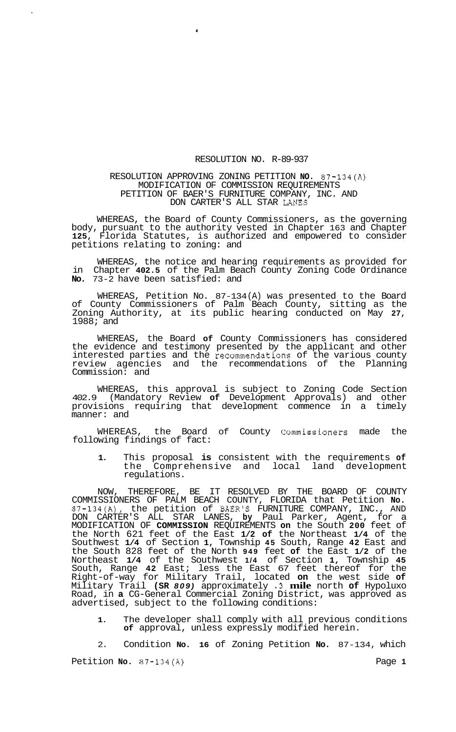## RESOLUTION NO. R-89-937

## RESOLUTION APPROVING ZONING PETITION **NO.** 87-134(A) MODIFICATION OF COMMISSION REQUIREMENTS PETITION OF BAER'S FURNITURE COMPANY, INC. AND DON CARTER'S ALL STAR LANES

 $\mathbf{u}$ 

WHEREAS, the Board of County Commissioners, as the governing body, pursuant to the authority vested in Chapter 163 and Chapter **125,** Florida Statutes, is authorized and empowered to consider petitions relating to zoning: and

WHEREAS, the notice and hearing requirements as provided for in Chapter **402.5** of the Palm Beach County Zoning Code Ordinance **No.** 73-2 have been satisfied: and

WHEREAS, Petition No. 87-134 (A) was presented to the Board of County Commissioners of Palm Beach County, sitting as the Zoning Authority, at its public hearing conducted on May **27,**  1988; and

WHEREAS, the Board **of** County Commissioners has considered the evidence and testimony presented by the applicant and other interested parties and the recommendations of the various county review agencies and the recommendations of the Planning Commission: and

WHEREAS, this approval is subject to Zoning Code Section 402.9 (Mandatory Review **of** Development Approvals) and other provisions requiring that development commence in a timely manner: and

WHEREAS, the Board of County Commissioners made the following findings of fact:

**1.** This proposal **is** consistent with the requirements **of**  the Comprehensive and local land development regulations.

NOW, THEREFORE, BE IT RESOLVED BY THE BOARD OF COUNTY COMMISSIONERS OF PALM BEACH COUNTY, FLORIDA that Petition **No.**  87-134(A), the petition of BAER'S FURNITURE COMPANY, INC., AND DON CARTER'S ALL STAR LANES, **by** Paul Parker, Agent, for a MODIFICATION OF **COMMISSION** REQUIREMENTS **on** the South **200** feet of the North 621 feet of the East **1/2 of** the Northeast **1/4** of the Southwest **1/4** of Section **1,** Township **45** South, Range **42** East and the South 828 feet of the North **949** feet **of** the East **1/2** of the Northeast **1/4** of the Southwest **1/4** of Section **1,** Township **45**  South, Range **42** East; less the East 67 feet thereof for the Right-of-way for Military Trail, located **on** the west side **of**  Military Trail **(SR** *809)* approximately **.3 mile** north **of** Hypoluxo Road, in **a** CG-General Commercial Zoning District, was approved as advertised, subject to the following conditions:

**1.** The developer shall comply with all previous conditions **of** approval, unless expressly modified herein.

2. Condition **No. 16** of Zoning Petition **No.** 87-134, which Petition **No. 87-134(A)** Page **1**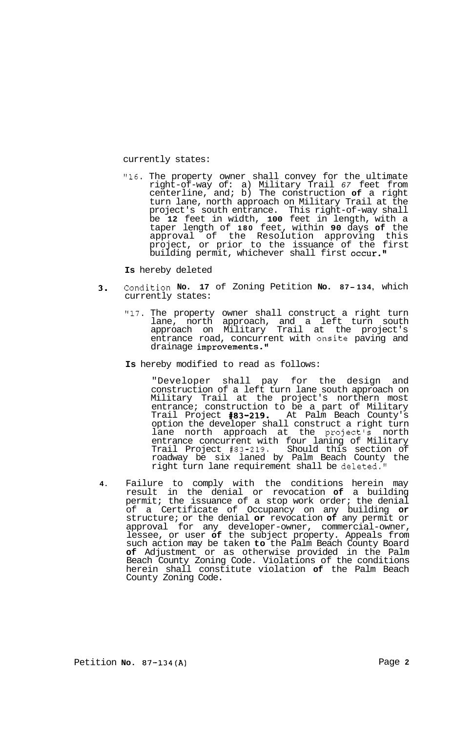currently states:

**"16.** The property owner shall convey for the ultimate right-of-way of: a) Military Trail *67* feet from centerline, and; b) The construction **of** a right turn lane, north approach on Military Trail at the project's south entrance. This right-of-way shall be **12** feet in width, **100** feet in length, with a taper length of **180** feet, within **90** days **of** the approval of the Resolution approving this project, or prior to the issuance of the first building permit, whichever shall first occur."

**Is** hereby deleted

- **3.** Condition **No. 17** of Zoning Petition **No. 87- 134,** which currently states:
	- **"17.** The property owner shall construct a right turn lane, north approach, and a left turn south approach on Military Trail at the project's entrance road, concurrent with onsite paving and drainage improvements."
	- **Is** hereby modified to read as follows:

"Developer shall pay for the design and construction of a left turn lane south approach on Military Trail at the project's northern most entrance; construction to be a part of Military Trail Project **#83-219.** At Palm Beach County's option the developer shall construct a right turn lane north approach at the project's north entrance concurrent with four laning of Military Trail Project **#83-219.** Should this section of roadway be six laned by Palm Beach County the right turn lane requirement shall be deleted."

**4.** Failure to comply with the conditions herein may result in the denial or revocation **of** a building permit; the issuance of a stop work order; the denial of a Certificate of Occupancy on any building **or**  structure; or the denial **or** revocation **of** any permit or approval for any developer-owner, commercial-owner, lessee, or user **of** the subject property. Appeals from such action may be taken **to** the Palm Beach County Board **of** Adjustment or as otherwise provided in the Palm Beach County Zoning Code. Violations of the conditions herein shall constitute violation **of** the Palm Beach County Zoning Code.